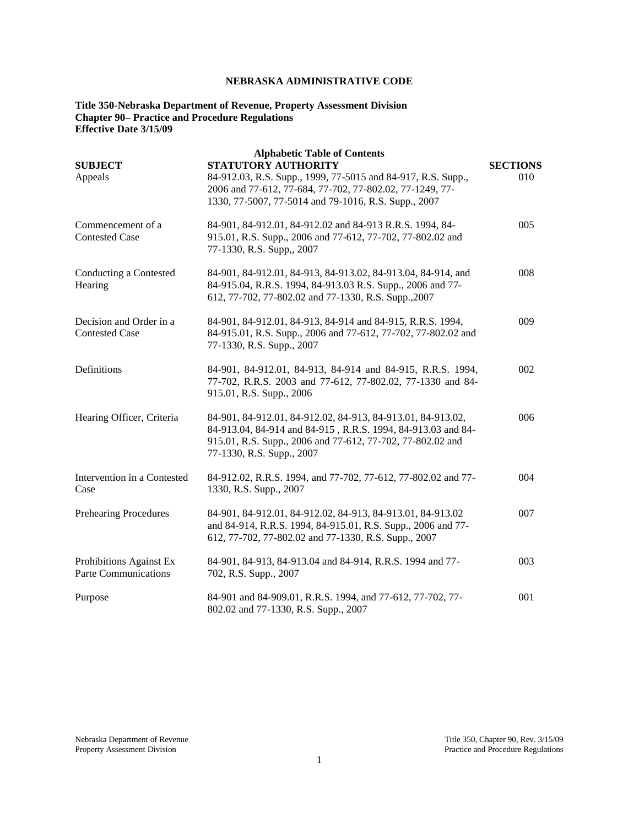# **NEBRASKA ADMINISTRATIVE CODE**

### **Title 350-Nebraska Department of Revenue, Property Assessment Division Chapter 90– Practice and Procedure Regulations Effective Date 3/15/09**

| <b>SUBJECT</b><br>Appeals                        | <b>Alphabetic Table of Contents</b><br>STATUTORY AUTHORITY<br>84-912.03, R.S. Supp., 1999, 77-5015 and 84-917, R.S. Supp.,<br>2006 and 77-612, 77-684, 77-702, 77-802.02, 77-1249, 77-<br>1330, 77-5007, 77-5014 and 79-1016, R.S. Supp., 2007 | <b>SECTIONS</b><br>010 |
|--------------------------------------------------|------------------------------------------------------------------------------------------------------------------------------------------------------------------------------------------------------------------------------------------------|------------------------|
| Commencement of a<br><b>Contested Case</b>       | 84-901, 84-912.01, 84-912.02 and 84-913 R.R.S. 1994, 84-<br>915.01, R.S. Supp., 2006 and 77-612, 77-702, 77-802.02 and<br>77-1330, R.S. Supp,, 2007                                                                                            | 005                    |
| Conducting a Contested<br>Hearing                | 84-901, 84-912.01, 84-913, 84-913.02, 84-913.04, 84-914, and<br>84-915.04, R.R.S. 1994, 84-913.03 R.S. Supp., 2006 and 77-<br>612, 77-702, 77-802.02 and 77-1330, R.S. Supp., 2007                                                             | 008                    |
| Decision and Order in a<br><b>Contested Case</b> | 84-901, 84-912.01, 84-913, 84-914 and 84-915, R.R.S. 1994,<br>84-915.01, R.S. Supp., 2006 and 77-612, 77-702, 77-802.02 and<br>77-1330, R.S. Supp., 2007                                                                                       | 009                    |
| Definitions                                      | 84-901, 84-912.01, 84-913, 84-914 and 84-915, R.R.S. 1994,<br>77-702, R.R.S. 2003 and 77-612, 77-802.02, 77-1330 and 84-<br>915.01, R.S. Supp., 2006                                                                                           | 002                    |
| Hearing Officer, Criteria                        | 84-901, 84-912.01, 84-912.02, 84-913, 84-913.01, 84-913.02,<br>84-913.04, 84-914 and 84-915, R.R.S. 1994, 84-913.03 and 84-<br>915.01, R.S. Supp., 2006 and 77-612, 77-702, 77-802.02 and<br>77-1330, R.S. Supp., 2007                         | 006                    |
| Intervention in a Contested<br>Case              | 84-912.02, R.R.S. 1994, and 77-702, 77-612, 77-802.02 and 77-<br>1330, R.S. Supp., 2007                                                                                                                                                        | 004                    |
| <b>Prehearing Procedures</b>                     | 84-901, 84-912.01, 84-912.02, 84-913, 84-913.01, 84-913.02<br>and 84-914, R.R.S. 1994, 84-915.01, R.S. Supp., 2006 and 77-<br>612, 77-702, 77-802.02 and 77-1330, R.S. Supp., 2007                                                             | 007                    |
| Prohibitions Against Ex<br>Parte Communications  | 84-901, 84-913, 84-913.04 and 84-914, R.R.S. 1994 and 77-<br>702, R.S. Supp., 2007                                                                                                                                                             | 003                    |
| Purpose                                          | 84-901 and 84-909.01, R.R.S. 1994, and 77-612, 77-702, 77-<br>802.02 and 77-1330, R.S. Supp., 2007                                                                                                                                             | 001                    |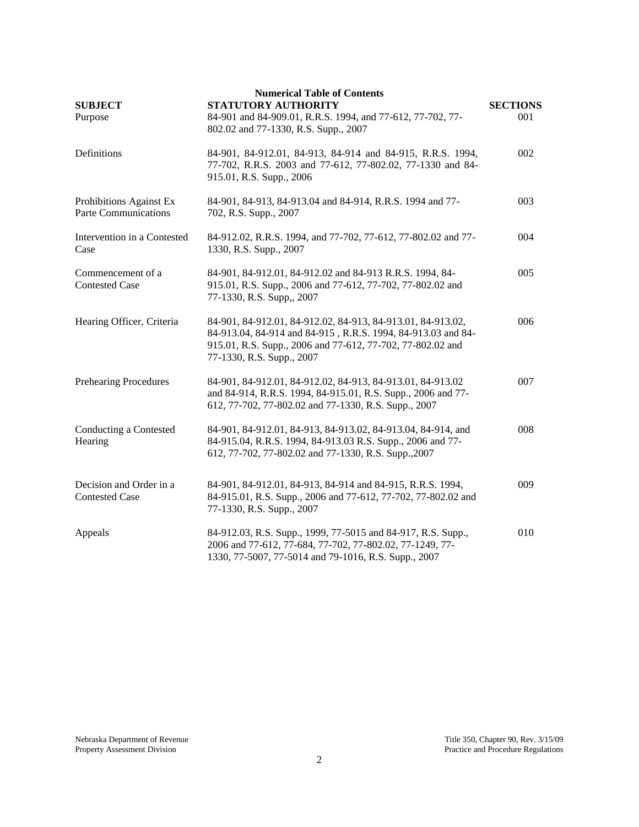| <b>Numerical Table of Contents</b><br>STATUTORY AUTHORITY<br><b>SUBJECT</b><br><b>SECTIONS</b> |                                                                                                                                                                                                                        |     |  |
|------------------------------------------------------------------------------------------------|------------------------------------------------------------------------------------------------------------------------------------------------------------------------------------------------------------------------|-----|--|
| Purpose                                                                                        | 84-901 and 84-909.01, R.R.S. 1994, and 77-612, 77-702, 77-<br>802.02 and 77-1330, R.S. Supp., 2007                                                                                                                     | 001 |  |
| Definitions                                                                                    | 84-901, 84-912.01, 84-913, 84-914 and 84-915, R.R.S. 1994,<br>77-702, R.R.S. 2003 and 77-612, 77-802.02, 77-1330 and 84-<br>915.01, R.S. Supp., 2006                                                                   | 002 |  |
| Prohibitions Against Ex<br><b>Parte Communications</b>                                         | 84-901, 84-913, 84-913.04 and 84-914, R.R.S. 1994 and 77-<br>702, R.S. Supp., 2007                                                                                                                                     | 003 |  |
| Intervention in a Contested<br>Case                                                            | 84-912.02, R.R.S. 1994, and 77-702, 77-612, 77-802.02 and 77-<br>1330, R.S. Supp., 2007                                                                                                                                | 004 |  |
| Commencement of a<br><b>Contested Case</b>                                                     | 84-901, 84-912.01, 84-912.02 and 84-913 R.R.S. 1994, 84-<br>915.01, R.S. Supp., 2006 and 77-612, 77-702, 77-802.02 and<br>77-1330, R.S. Supp., 2007                                                                    | 005 |  |
| Hearing Officer, Criteria                                                                      | 84-901, 84-912.01, 84-912.02, 84-913, 84-913.01, 84-913.02,<br>84-913.04, 84-914 and 84-915, R.R.S. 1994, 84-913.03 and 84-<br>915.01, R.S. Supp., 2006 and 77-612, 77-702, 77-802.02 and<br>77-1330, R.S. Supp., 2007 | 006 |  |
| <b>Prehearing Procedures</b>                                                                   | 84-901, 84-912.01, 84-912.02, 84-913, 84-913.01, 84-913.02<br>and 84-914, R.R.S. 1994, 84-915.01, R.S. Supp., 2006 and 77-<br>612, 77-702, 77-802.02 and 77-1330, R.S. Supp., 2007                                     | 007 |  |
| Conducting a Contested<br>Hearing                                                              | 84-901, 84-912.01, 84-913, 84-913.02, 84-913.04, 84-914, and<br>84-915.04, R.R.S. 1994, 84-913.03 R.S. Supp., 2006 and 77-<br>612, 77-702, 77-802.02 and 77-1330, R.S. Supp., 2007                                     | 008 |  |
| Decision and Order in a<br><b>Contested Case</b>                                               | 84-901, 84-912.01, 84-913, 84-914 and 84-915, R.R.S. 1994,<br>84-915.01, R.S. Supp., 2006 and 77-612, 77-702, 77-802.02 and<br>77-1330, R.S. Supp., 2007                                                               | 009 |  |
| Appeals                                                                                        | 84-912.03, R.S. Supp., 1999, 77-5015 and 84-917, R.S. Supp.,<br>2006 and 77-612, 77-684, 77-702, 77-802.02, 77-1249, 77-<br>1330, 77-5007, 77-5014 and 79-1016, R.S. Supp., 2007                                       | 010 |  |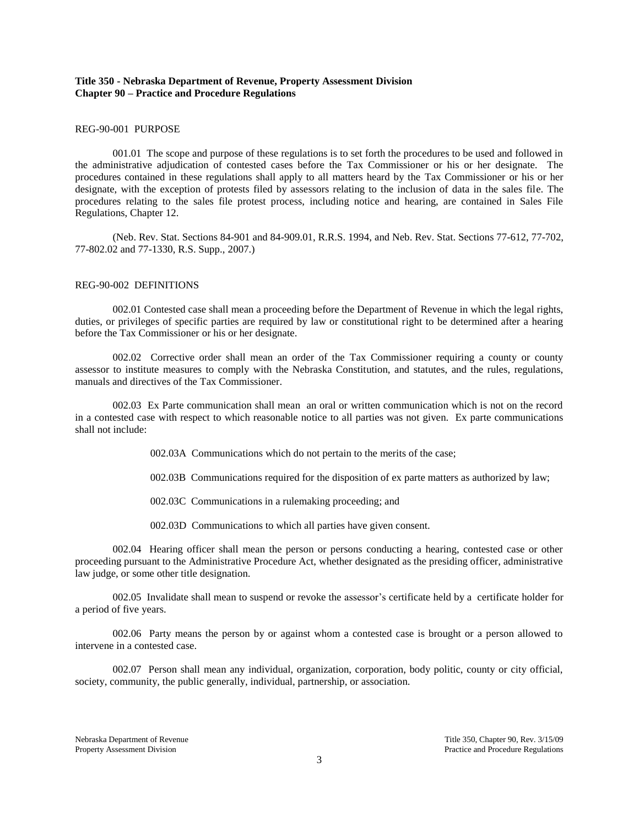# **Title 350 - Nebraska Department of Revenue, Property Assessment Division Chapter 90 – Practice and Procedure Regulations**

### REG-90-001 PURPOSE

001.01 The scope and purpose of these regulations is to set forth the procedures to be used and followed in the administrative adjudication of contested cases before the Tax Commissioner or his or her designate. The procedures contained in these regulations shall apply to all matters heard by the Tax Commissioner or his or her designate, with the exception of protests filed by assessors relating to the inclusion of data in the sales file. The procedures relating to the sales file protest process, including notice and hearing, are contained in Sales File Regulations, Chapter 12.

(Neb. Rev. Stat. Sections 84-901 and 84-909.01, R.R.S. 1994, and Neb. Rev. Stat. Sections 77-612, 77-702, 77-802.02 and 77-1330, R.S. Supp., 2007.)

### REG-90-002 DEFINITIONS

002.01 Contested case shall mean a proceeding before the Department of Revenue in which the legal rights, duties, or privileges of specific parties are required by law or constitutional right to be determined after a hearing before the Tax Commissioner or his or her designate.

002.02 Corrective order shall mean an order of the Tax Commissioner requiring a county or county assessor to institute measures to comply with the Nebraska Constitution, and statutes, and the rules, regulations, manuals and directives of the Tax Commissioner.

002.03 Ex Parte communication shall mean an oral or written communication which is not on the record in a contested case with respect to which reasonable notice to all parties was not given. Ex parte communications shall not include:

002.03A Communications which do not pertain to the merits of the case;

002.03B Communications required for the disposition of ex parte matters as authorized by law;

002.03C Communications in a rulemaking proceeding; and

002.03D Communications to which all parties have given consent.

002.04 Hearing officer shall mean the person or persons conducting a hearing, contested case or other proceeding pursuant to the Administrative Procedure Act, whether designated as the presiding officer, administrative law judge, or some other title designation.

002.05 Invalidate shall mean to suspend or revoke the assessor's certificate held by a certificate holder for a period of five years.

002.06 Party means the person by or against whom a contested case is brought or a person allowed to intervene in a contested case.

002.07 Person shall mean any individual, organization, corporation, body politic, county or city official, society, community, the public generally, individual, partnership, or association.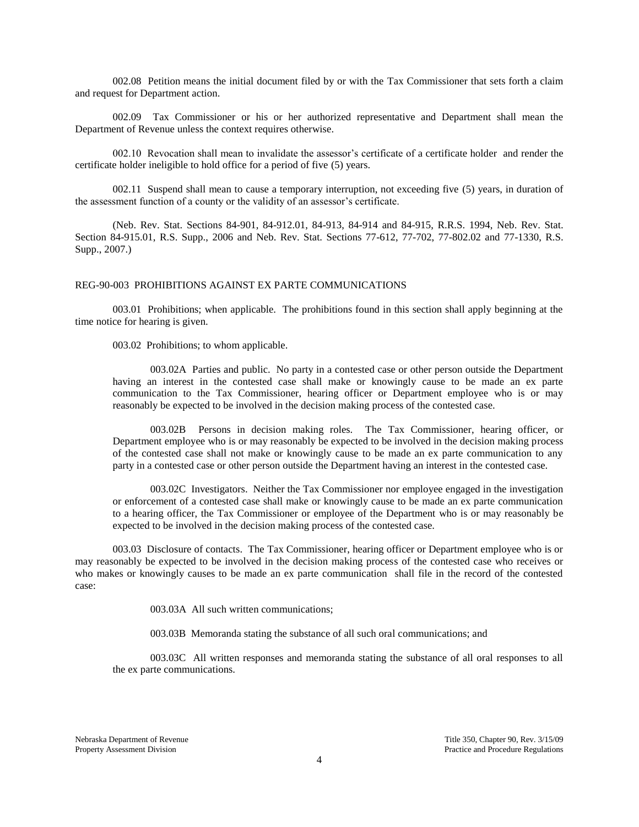002.08 Petition means the initial document filed by or with the Tax Commissioner that sets forth a claim and request for Department action.

002.09 Tax Commissioner or his or her authorized representative and Department shall mean the Department of Revenue unless the context requires otherwise.

002.10 Revocation shall mean to invalidate the assessor's certificate of a certificate holder and render the certificate holder ineligible to hold office for a period of five (5) years.

002.11 Suspend shall mean to cause a temporary interruption, not exceeding five (5) years, in duration of the assessment function of a county or the validity of an assessor's certificate.

(Neb. Rev. Stat. Sections 84-901, 84-912.01, 84-913, 84-914 and 84-915, R.R.S. 1994, Neb. Rev. Stat. Section 84-915.01, R.S. Supp., 2006 and Neb. Rev. Stat. Sections 77-612, 77-702, 77-802.02 and 77-1330, R.S. Supp., 2007.)

#### REG-90-003 PROHIBITIONS AGAINST EX PARTE COMMUNICATIONS

003.01 Prohibitions; when applicable. The prohibitions found in this section shall apply beginning at the time notice for hearing is given.

003.02 Prohibitions; to whom applicable.

003.02A Parties and public. No party in a contested case or other person outside the Department having an interest in the contested case shall make or knowingly cause to be made an ex parte communication to the Tax Commissioner, hearing officer or Department employee who is or may reasonably be expected to be involved in the decision making process of the contested case.

003.02B Persons in decision making roles. The Tax Commissioner, hearing officer, or Department employee who is or may reasonably be expected to be involved in the decision making process of the contested case shall not make or knowingly cause to be made an ex parte communication to any party in a contested case or other person outside the Department having an interest in the contested case.

003.02C Investigators. Neither the Tax Commissioner nor employee engaged in the investigation or enforcement of a contested case shall make or knowingly cause to be made an ex parte communication to a hearing officer, the Tax Commissioner or employee of the Department who is or may reasonably be expected to be involved in the decision making process of the contested case.

003.03 Disclosure of contacts. The Tax Commissioner, hearing officer or Department employee who is or may reasonably be expected to be involved in the decision making process of the contested case who receives or who makes or knowingly causes to be made an ex parte communication shall file in the record of the contested case:

003.03A All such written communications;

003.03B Memoranda stating the substance of all such oral communications; and

003.03C All written responses and memoranda stating the substance of all oral responses to all the ex parte communications.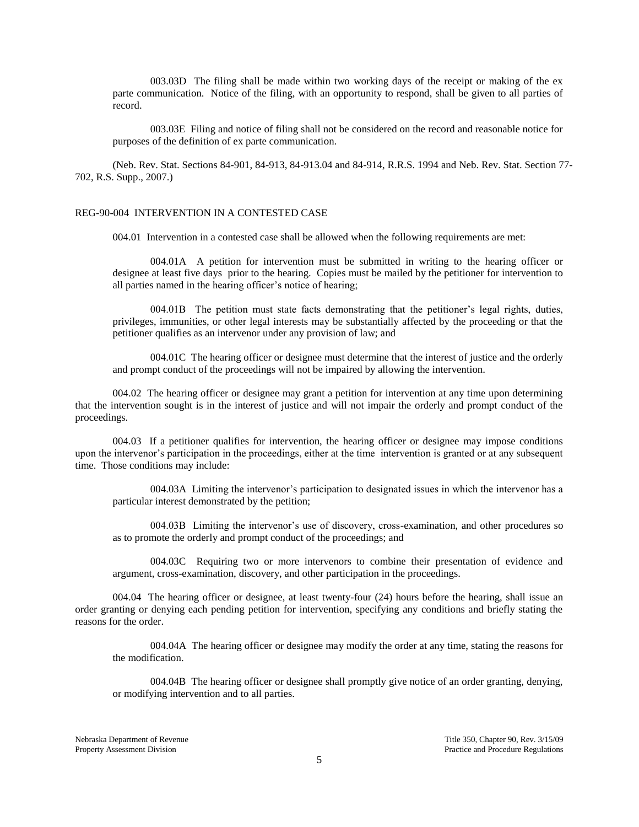003.03D The filing shall be made within two working days of the receipt or making of the ex parte communication. Notice of the filing, with an opportunity to respond, shall be given to all parties of record.

003.03E Filing and notice of filing shall not be considered on the record and reasonable notice for purposes of the definition of ex parte communication.

(Neb. Rev. Stat. Sections 84-901, 84-913, 84-913.04 and 84-914, R.R.S. 1994 and Neb. Rev. Stat. Section 77- 702, R.S. Supp., 2007.)

#### REG-90-004 INTERVENTION IN A CONTESTED CASE

004.01 Intervention in a contested case shall be allowed when the following requirements are met:

004.01A A petition for intervention must be submitted in writing to the hearing officer or designee at least five days prior to the hearing. Copies must be mailed by the petitioner for intervention to all parties named in the hearing officer's notice of hearing;

004.01B The petition must state facts demonstrating that the petitioner's legal rights, duties, privileges, immunities, or other legal interests may be substantially affected by the proceeding or that the petitioner qualifies as an intervenor under any provision of law; and

004.01C The hearing officer or designee must determine that the interest of justice and the orderly and prompt conduct of the proceedings will not be impaired by allowing the intervention.

004.02 The hearing officer or designee may grant a petition for intervention at any time upon determining that the intervention sought is in the interest of justice and will not impair the orderly and prompt conduct of the proceedings.

004.03 If a petitioner qualifies for intervention, the hearing officer or designee may impose conditions upon the intervenor's participation in the proceedings, either at the time intervention is granted or at any subsequent time. Those conditions may include:

004.03A Limiting the intervenor's participation to designated issues in which the intervenor has a particular interest demonstrated by the petition;

004.03B Limiting the intervenor's use of discovery, cross-examination, and other procedures so as to promote the orderly and prompt conduct of the proceedings; and

004.03C Requiring two or more intervenors to combine their presentation of evidence and argument, cross-examination, discovery, and other participation in the proceedings.

004.04 The hearing officer or designee, at least twenty-four (24) hours before the hearing, shall issue an order granting or denying each pending petition for intervention, specifying any conditions and briefly stating the reasons for the order.

004.04A The hearing officer or designee may modify the order at any time, stating the reasons for the modification.

004.04B The hearing officer or designee shall promptly give notice of an order granting, denying, or modifying intervention and to all parties.

Nebraska Department of Revenue Title 350, Chapter 90, Rev. 3/15/09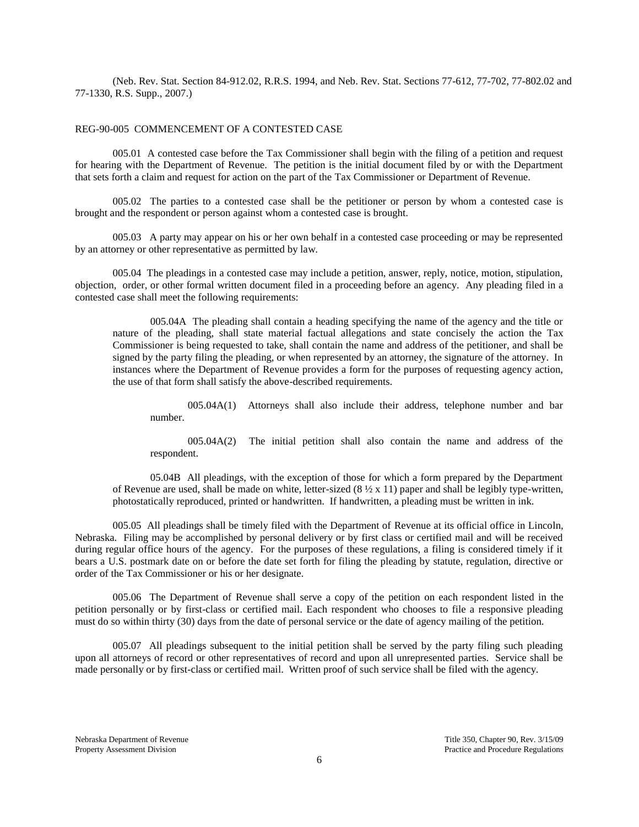(Neb. Rev. Stat. Section 84-912.02, R.R.S. 1994, and Neb. Rev. Stat. Sections 77-612, 77-702, 77-802.02 and 77-1330, R.S. Supp., 2007.)

## REG-90-005 COMMENCEMENT OF A CONTESTED CASE

005.01 A contested case before the Tax Commissioner shall begin with the filing of a petition and request for hearing with the Department of Revenue. The petition is the initial document filed by or with the Department that sets forth a claim and request for action on the part of the Tax Commissioner or Department of Revenue.

005.02 The parties to a contested case shall be the petitioner or person by whom a contested case is brought and the respondent or person against whom a contested case is brought.

005.03 A party may appear on his or her own behalf in a contested case proceeding or may be represented by an attorney or other representative as permitted by law.

005.04 The pleadings in a contested case may include a petition, answer, reply, notice, motion, stipulation, objection, order, or other formal written document filed in a proceeding before an agency. Any pleading filed in a contested case shall meet the following requirements:

005.04A The pleading shall contain a heading specifying the name of the agency and the title or nature of the pleading, shall state material factual allegations and state concisely the action the Tax Commissioner is being requested to take, shall contain the name and address of the petitioner, and shall be signed by the party filing the pleading, or when represented by an attorney, the signature of the attorney. In instances where the Department of Revenue provides a form for the purposes of requesting agency action, the use of that form shall satisfy the above-described requirements.

005.04A(1) Attorneys shall also include their address, telephone number and bar number.

005.04A(2) The initial petition shall also contain the name and address of the respondent.

05.04B All pleadings, with the exception of those for which a form prepared by the Department of Revenue are used, shall be made on white, letter-sized  $(8 \frac{1}{2} \times 11)$  paper and shall be legibly type-written, photostatically reproduced, printed or handwritten. If handwritten, a pleading must be written in ink.

005.05 All pleadings shall be timely filed with the Department of Revenue at its official office in Lincoln, Nebraska. Filing may be accomplished by personal delivery or by first class or certified mail and will be received during regular office hours of the agency. For the purposes of these regulations, a filing is considered timely if it bears a U.S. postmark date on or before the date set forth for filing the pleading by statute, regulation, directive or order of the Tax Commissioner or his or her designate.

005.06 The Department of Revenue shall serve a copy of the petition on each respondent listed in the petition personally or by first-class or certified mail. Each respondent who chooses to file a responsive pleading must do so within thirty (30) days from the date of personal service or the date of agency mailing of the petition.

005.07 All pleadings subsequent to the initial petition shall be served by the party filing such pleading upon all attorneys of record or other representatives of record and upon all unrepresented parties. Service shall be made personally or by first-class or certified mail. Written proof of such service shall be filed with the agency.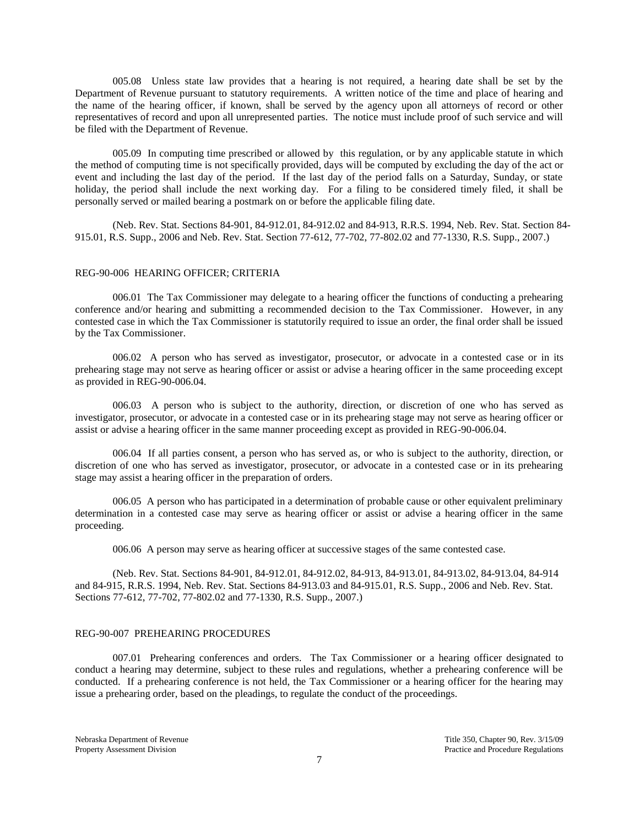005.08 Unless state law provides that a hearing is not required, a hearing date shall be set by the Department of Revenue pursuant to statutory requirements. A written notice of the time and place of hearing and the name of the hearing officer, if known, shall be served by the agency upon all attorneys of record or other representatives of record and upon all unrepresented parties. The notice must include proof of such service and will be filed with the Department of Revenue.

005.09 In computing time prescribed or allowed by this regulation, or by any applicable statute in which the method of computing time is not specifically provided, days will be computed by excluding the day of the act or event and including the last day of the period. If the last day of the period falls on a Saturday, Sunday, or state holiday, the period shall include the next working day. For a filing to be considered timely filed, it shall be personally served or mailed bearing a postmark on or before the applicable filing date.

(Neb. Rev. Stat. Sections 84-901, 84-912.01, 84-912.02 and 84-913, R.R.S. 1994, Neb. Rev. Stat. Section 84- 915.01, R.S. Supp., 2006 and Neb. Rev. Stat. Section 77-612, 77-702, 77-802.02 and 77-1330, R.S. Supp., 2007.)

#### REG-90-006 HEARING OFFICER; CRITERIA

006.01 The Tax Commissioner may delegate to a hearing officer the functions of conducting a prehearing conference and/or hearing and submitting a recommended decision to the Tax Commissioner. However, in any contested case in which the Tax Commissioner is statutorily required to issue an order, the final order shall be issued by the Tax Commissioner.

006.02 A person who has served as investigator, prosecutor, or advocate in a contested case or in its prehearing stage may not serve as hearing officer or assist or advise a hearing officer in the same proceeding except as provided in REG-90-006.04.

006.03 A person who is subject to the authority, direction, or discretion of one who has served as investigator, prosecutor, or advocate in a contested case or in its prehearing stage may not serve as hearing officer or assist or advise a hearing officer in the same manner proceeding except as provided in REG-90-006.04.

006.04 If all parties consent, a person who has served as, or who is subject to the authority, direction, or discretion of one who has served as investigator, prosecutor, or advocate in a contested case or in its prehearing stage may assist a hearing officer in the preparation of orders.

006.05 A person who has participated in a determination of probable cause or other equivalent preliminary determination in a contested case may serve as hearing officer or assist or advise a hearing officer in the same proceeding.

006.06 A person may serve as hearing officer at successive stages of the same contested case.

(Neb. Rev. Stat. Sections 84-901, 84-912.01, 84-912.02, 84-913, 84-913.01, 84-913.02, 84-913.04, 84-914 and 84-915, R.R.S. 1994, Neb. Rev. Stat. Sections 84-913.03 and 84-915.01, R.S. Supp., 2006 and Neb. Rev. Stat. Sections 77-612, 77-702, 77-802.02 and 77-1330, R.S. Supp., 2007.)

#### REG-90-007 PREHEARING PROCEDURES

007.01 Prehearing conferences and orders. The Tax Commissioner or a hearing officer designated to conduct a hearing may determine, subject to these rules and regulations, whether a prehearing conference will be conducted. If a prehearing conference is not held, the Tax Commissioner or a hearing officer for the hearing may issue a prehearing order, based on the pleadings, to regulate the conduct of the proceedings.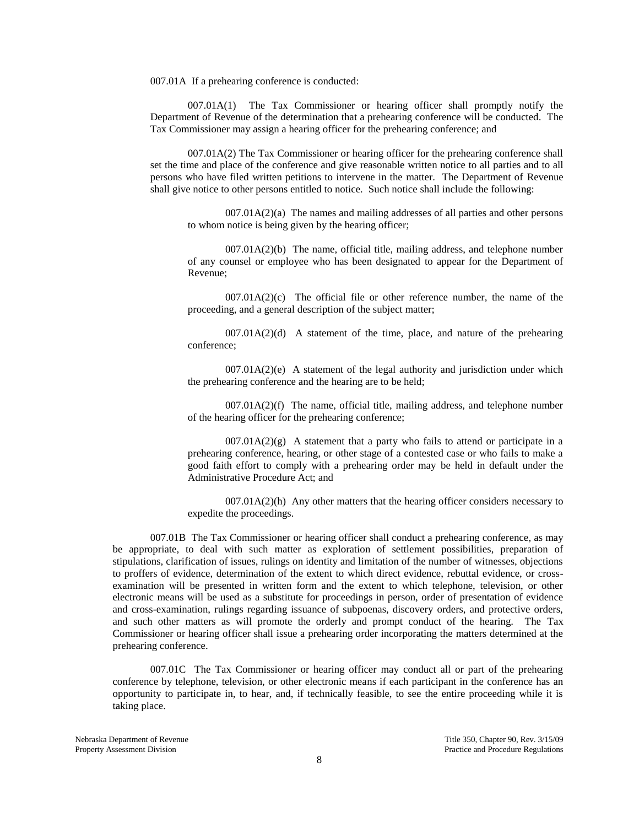007.01A If a prehearing conference is conducted:

007.01A(1) The Tax Commissioner or hearing officer shall promptly notify the Department of Revenue of the determination that a prehearing conference will be conducted. The Tax Commissioner may assign a hearing officer for the prehearing conference; and

007.01A(2) The Tax Commissioner or hearing officer for the prehearing conference shall set the time and place of the conference and give reasonable written notice to all parties and to all persons who have filed written petitions to intervene in the matter. The Department of Revenue shall give notice to other persons entitled to notice. Such notice shall include the following:

007.01A(2)(a) The names and mailing addresses of all parties and other persons to whom notice is being given by the hearing officer;

007.01A(2)(b) The name, official title, mailing address, and telephone number of any counsel or employee who has been designated to appear for the Department of Revenue;

 $007.01A(2)(c)$  The official file or other reference number, the name of the proceeding, and a general description of the subject matter;

 $007.01A(2)(d)$  A statement of the time, place, and nature of the prehearing conference;

 $007.01A(2)(e)$  A statement of the legal authority and jurisdiction under which the prehearing conference and the hearing are to be held;

 $007.01A(2)(f)$  The name, official title, mailing address, and telephone number of the hearing officer for the prehearing conference;

 $007.01A(2)(g)$  A statement that a party who fails to attend or participate in a prehearing conference, hearing, or other stage of a contested case or who fails to make a good faith effort to comply with a prehearing order may be held in default under the Administrative Procedure Act; and

 $007.01A(2)$ (h) Any other matters that the hearing officer considers necessary to expedite the proceedings.

007.01B The Tax Commissioner or hearing officer shall conduct a prehearing conference, as may be appropriate, to deal with such matter as exploration of settlement possibilities, preparation of stipulations, clarification of issues, rulings on identity and limitation of the number of witnesses, objections to proffers of evidence, determination of the extent to which direct evidence, rebuttal evidence, or crossexamination will be presented in written form and the extent to which telephone, television, or other electronic means will be used as a substitute for proceedings in person, order of presentation of evidence and cross-examination, rulings regarding issuance of subpoenas, discovery orders, and protective orders, and such other matters as will promote the orderly and prompt conduct of the hearing. The Tax Commissioner or hearing officer shall issue a prehearing order incorporating the matters determined at the prehearing conference.

007.01C The Tax Commissioner or hearing officer may conduct all or part of the prehearing conference by telephone, television, or other electronic means if each participant in the conference has an opportunity to participate in, to hear, and, if technically feasible, to see the entire proceeding while it is taking place.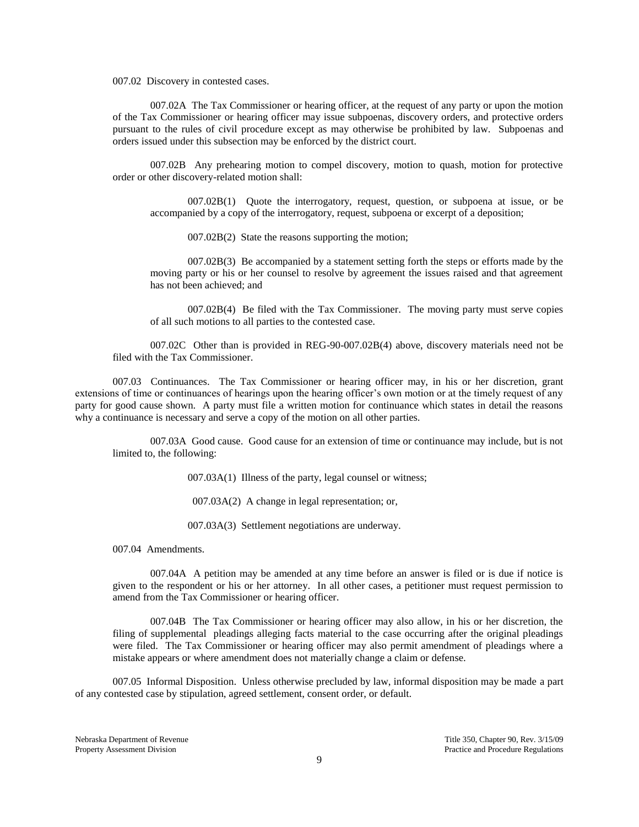007.02 Discovery in contested cases.

007.02A The Tax Commissioner or hearing officer, at the request of any party or upon the motion of the Tax Commissioner or hearing officer may issue subpoenas, discovery orders, and protective orders pursuant to the rules of civil procedure except as may otherwise be prohibited by law. Subpoenas and orders issued under this subsection may be enforced by the district court.

007.02B Any prehearing motion to compel discovery, motion to quash, motion for protective order or other discovery-related motion shall:

007.02B(1) Quote the interrogatory, request, question, or subpoena at issue, or be accompanied by a copy of the interrogatory, request, subpoena or excerpt of a deposition;

007.02B(2) State the reasons supporting the motion;

007.02B(3) Be accompanied by a statement setting forth the steps or efforts made by the moving party or his or her counsel to resolve by agreement the issues raised and that agreement has not been achieved; and

007.02B(4) Be filed with the Tax Commissioner. The moving party must serve copies of all such motions to all parties to the contested case.

007.02C Other than is provided in REG-90-007.02B(4) above, discovery materials need not be filed with the Tax Commissioner.

007.03 Continuances. The Tax Commissioner or hearing officer may, in his or her discretion, grant extensions of time or continuances of hearings upon the hearing officer's own motion or at the timely request of any party for good cause shown. A party must file a written motion for continuance which states in detail the reasons why a continuance is necessary and serve a copy of the motion on all other parties.

007.03A Good cause. Good cause for an extension of time or continuance may include, but is not limited to, the following:

007.03A(1) Illness of the party, legal counsel or witness;

007.03A(2) A change in legal representation; or,

007.03A(3) Settlement negotiations are underway.

007.04 Amendments.

007.04A A petition may be amended at any time before an answer is filed or is due if notice is given to the respondent or his or her attorney. In all other cases, a petitioner must request permission to amend from the Tax Commissioner or hearing officer.

007.04B The Tax Commissioner or hearing officer may also allow, in his or her discretion, the filing of supplemental pleadings alleging facts material to the case occurring after the original pleadings were filed. The Tax Commissioner or hearing officer may also permit amendment of pleadings where a mistake appears or where amendment does not materially change a claim or defense.

007.05 Informal Disposition. Unless otherwise precluded by law, informal disposition may be made a part of any contested case by stipulation, agreed settlement, consent order, or default.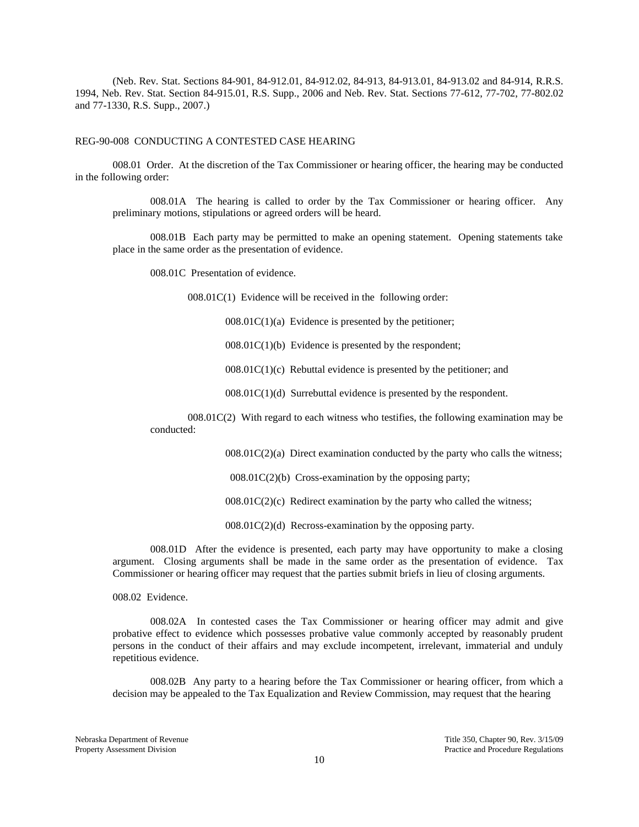(Neb. Rev. Stat. Sections 84-901, 84-912.01, 84-912.02, 84-913, 84-913.01, 84-913.02 and 84-914, R.R.S. 1994, Neb. Rev. Stat. Section 84-915.01, R.S. Supp., 2006 and Neb. Rev. Stat. Sections 77-612, 77-702, 77-802.02 and 77-1330, R.S. Supp., 2007.)

## REG-90-008 CONDUCTING A CONTESTED CASE HEARING

008.01 Order. At the discretion of the Tax Commissioner or hearing officer, the hearing may be conducted in the following order:

008.01A The hearing is called to order by the Tax Commissioner or hearing officer. Any preliminary motions, stipulations or agreed orders will be heard.

008.01B Each party may be permitted to make an opening statement. Opening statements take place in the same order as the presentation of evidence.

008.01C Presentation of evidence.

008.01C(1) Evidence will be received in the following order:

 $008.01C(1)(a)$  Evidence is presented by the petitioner;

 $008.01C(1)(b)$  Evidence is presented by the respondent;

 $008.01C(1)(c)$  Rebuttal evidence is presented by the petitioner; and

008.01C(1)(d) Surrebuttal evidence is presented by the respondent.

008.01C(2) With regard to each witness who testifies, the following examination may be conducted:

 $008.01C(2)(a)$  Direct examination conducted by the party who calls the witness;

008.01C(2)(b) Cross-examination by the opposing party;

 $008.01C(2)(c)$  Redirect examination by the party who called the witness;

008.01C(2)(d) Recross-examination by the opposing party.

008.01D After the evidence is presented, each party may have opportunity to make a closing argument. Closing arguments shall be made in the same order as the presentation of evidence. Tax Commissioner or hearing officer may request that the parties submit briefs in lieu of closing arguments.

008.02 Evidence.

008.02A In contested cases the Tax Commissioner or hearing officer may admit and give probative effect to evidence which possesses probative value commonly accepted by reasonably prudent persons in the conduct of their affairs and may exclude incompetent, irrelevant, immaterial and unduly repetitious evidence.

008.02B Any party to a hearing before the Tax Commissioner or hearing officer, from which a decision may be appealed to the Tax Equalization and Review Commission, may request that the hearing

Nebraska Department of Revenue Title 350, Chapter 90, Rev. 3/15/09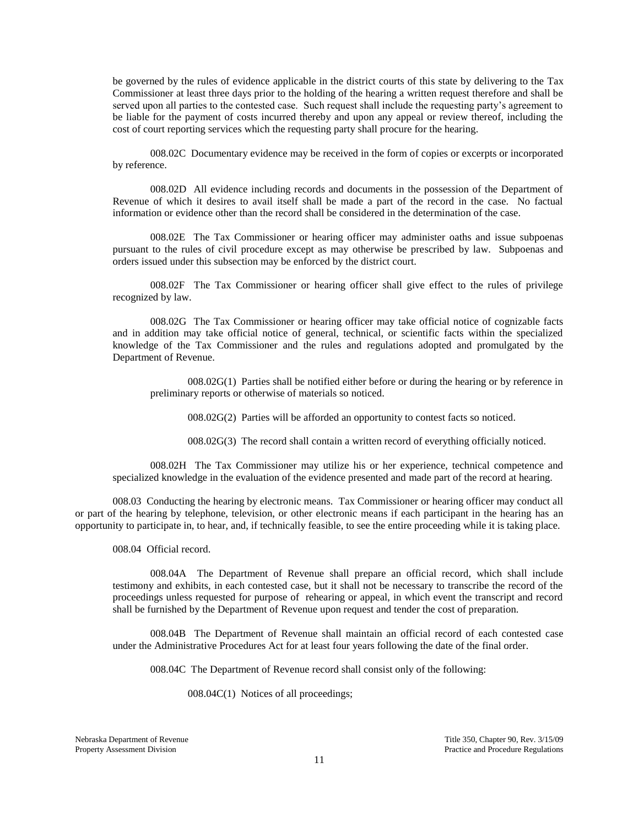be governed by the rules of evidence applicable in the district courts of this state by delivering to the Tax Commissioner at least three days prior to the holding of the hearing a written request therefore and shall be served upon all parties to the contested case. Such request shall include the requesting party's agreement to be liable for the payment of costs incurred thereby and upon any appeal or review thereof, including the cost of court reporting services which the requesting party shall procure for the hearing.

008.02C Documentary evidence may be received in the form of copies or excerpts or incorporated by reference.

008.02D All evidence including records and documents in the possession of the Department of Revenue of which it desires to avail itself shall be made a part of the record in the case. No factual information or evidence other than the record shall be considered in the determination of the case.

008.02E The Tax Commissioner or hearing officer may administer oaths and issue subpoenas pursuant to the rules of civil procedure except as may otherwise be prescribed by law. Subpoenas and orders issued under this subsection may be enforced by the district court.

008.02F The Tax Commissioner or hearing officer shall give effect to the rules of privilege recognized by law.

008.02G The Tax Commissioner or hearing officer may take official notice of cognizable facts and in addition may take official notice of general, technical, or scientific facts within the specialized knowledge of the Tax Commissioner and the rules and regulations adopted and promulgated by the Department of Revenue.

008.02G(1) Parties shall be notified either before or during the hearing or by reference in preliminary reports or otherwise of materials so noticed.

008.02G(2) Parties will be afforded an opportunity to contest facts so noticed.

008.02G(3) The record shall contain a written record of everything officially noticed.

008.02H The Tax Commissioner may utilize his or her experience, technical competence and specialized knowledge in the evaluation of the evidence presented and made part of the record at hearing.

008.03 Conducting the hearing by electronic means. Tax Commissioner or hearing officer may conduct all or part of the hearing by telephone, television, or other electronic means if each participant in the hearing has an opportunity to participate in, to hear, and, if technically feasible, to see the entire proceeding while it is taking place.

008.04 Official record.

008.04A The Department of Revenue shall prepare an official record, which shall include testimony and exhibits, in each contested case, but it shall not be necessary to transcribe the record of the proceedings unless requested for purpose of rehearing or appeal, in which event the transcript and record shall be furnished by the Department of Revenue upon request and tender the cost of preparation.

008.04B The Department of Revenue shall maintain an official record of each contested case under the Administrative Procedures Act for at least four years following the date of the final order.

008.04C The Department of Revenue record shall consist only of the following:

008.04C(1) Notices of all proceedings;

Nebraska Department of Revenue Title 350, Chapter 90, Rev. 3/15/09

Property Assessment Division **Practice and Procedure Regulations** Practice and Procedure Regulations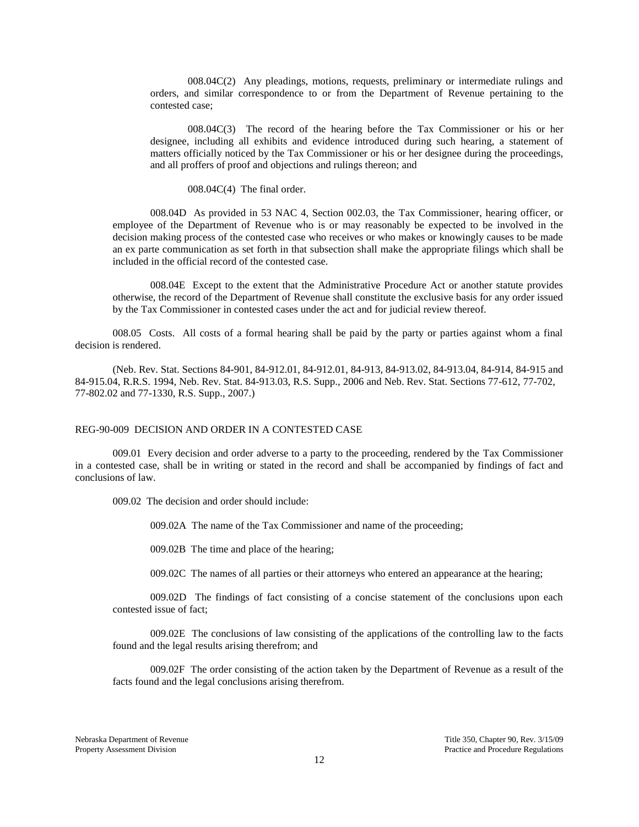008.04C(2) Any pleadings, motions, requests, preliminary or intermediate rulings and orders, and similar correspondence to or from the Department of Revenue pertaining to the contested case;

008.04C(3) The record of the hearing before the Tax Commissioner or his or her designee, including all exhibits and evidence introduced during such hearing, a statement of matters officially noticed by the Tax Commissioner or his or her designee during the proceedings, and all proffers of proof and objections and rulings thereon; and

008.04C(4) The final order.

008.04D As provided in 53 NAC 4, Section 002.03, the Tax Commissioner, hearing officer, or employee of the Department of Revenue who is or may reasonably be expected to be involved in the decision making process of the contested case who receives or who makes or knowingly causes to be made an ex parte communication as set forth in that subsection shall make the appropriate filings which shall be included in the official record of the contested case.

008.04E Except to the extent that the Administrative Procedure Act or another statute provides otherwise, the record of the Department of Revenue shall constitute the exclusive basis for any order issued by the Tax Commissioner in contested cases under the act and for judicial review thereof.

008.05 Costs. All costs of a formal hearing shall be paid by the party or parties against whom a final decision is rendered.

(Neb. Rev. Stat. Sections 84-901, 84-912.01, 84-912.01, 84-913, 84-913.02, 84-913.04, 84-914, 84-915 and 84-915.04, R.R.S. 1994, Neb. Rev. Stat. 84-913.03, R.S. Supp., 2006 and Neb. Rev. Stat. Sections 77-612, 77-702, 77-802.02 and 77-1330, R.S. Supp., 2007.)

### REG-90-009 DECISION AND ORDER IN A CONTESTED CASE

009.01 Every decision and order adverse to a party to the proceeding, rendered by the Tax Commissioner in a contested case, shall be in writing or stated in the record and shall be accompanied by findings of fact and conclusions of law.

009.02 The decision and order should include:

009.02A The name of the Tax Commissioner and name of the proceeding;

009.02B The time and place of the hearing;

009.02C The names of all parties or their attorneys who entered an appearance at the hearing;

009.02D The findings of fact consisting of a concise statement of the conclusions upon each contested issue of fact;

009.02E The conclusions of law consisting of the applications of the controlling law to the facts found and the legal results arising therefrom; and

009.02F The order consisting of the action taken by the Department of Revenue as a result of the facts found and the legal conclusions arising therefrom.

Nebraska Department of Revenue Title 350, Chapter 90, Rev. 3/15/09